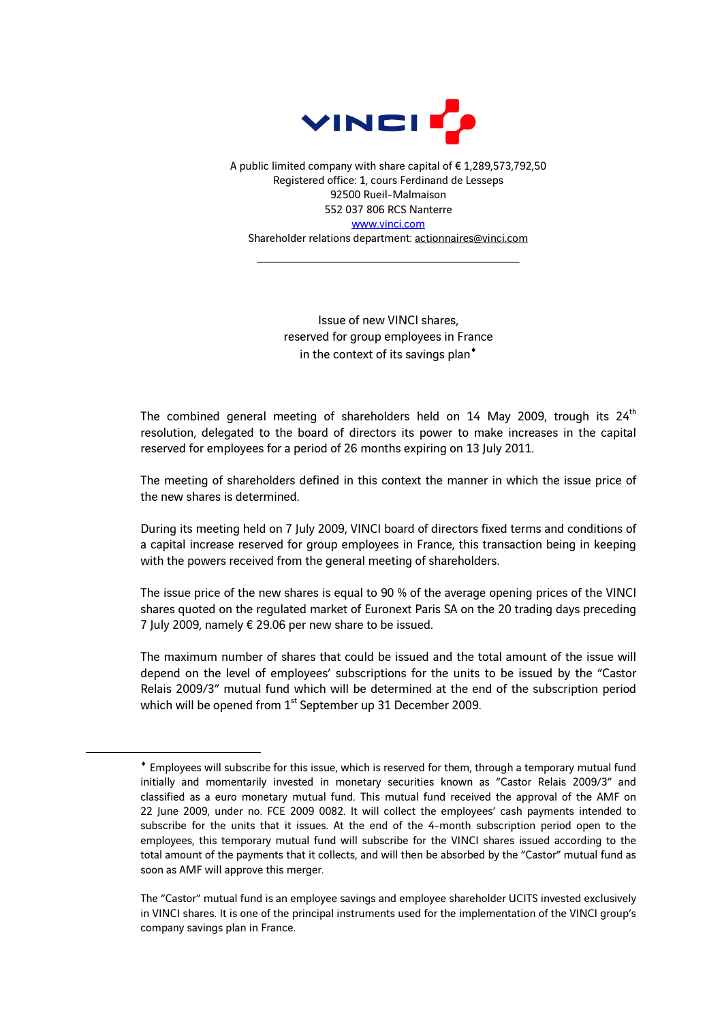

A public limited company with share capital of € 1,289,573,792,50 Registered office: 1, cours Ferdinand de Lesseps 92500 Rueil-Malmaison 552 037 806 RCS Nanterre www.vinci.com

Shareholder relations department: actionnaires@vinci.com  $\mathcal{L}_\text{max}$  , and the set of the set of the set of the set of the set of the set of the set of the set of the set of the set of the set of the set of the set of the set of the set of the set of the set of the set of the

> Issue of new VINCI shares, reserved for group employees in France in the context of its savings plan $^*$

The combined general meeting of shareholders held on 14 May 2009, trough its  $24<sup>th</sup>$ resolution, delegated to the board of directors its power to make increases in the capital reserved for employees for a period of 26 months expiring on 13 July 2011.

The meeting of shareholders defined in this context the manner in which the issue price of the new shares is determined.

During its meeting held on 7 July 2009, VINCI board of directors fixed terms and conditions of a capital increase reserved for group employees in France, this transaction being in keeping with the powers received from the general meeting of shareholders.

The issue price of the new shares is equal to 90 % of the average opening prices of the VINCI shares quoted on the regulated market of Euronext Paris SA on the 20 trading days preceding 7 July 2009, namely € 29.06 per new share to be issued.

The maximum number of shares that could be issued and the total amount of the issue will depend on the level of employees' subscriptions for the units to be issued by the "Castor Relais 2009/3" mutual fund which will be determined at the end of the subscription period which will be opened from  $1<sup>st</sup>$  September up 31 December 2009.

 $\overline{a}$ 

<sup>♦</sup> Employees will subscribe for this issue, which is reserved for them, through a temporary mutual fund initially and momentarily invested in monetary securities known as "Castor Relais 2009/3" and classified as a euro monetary mutual fund. This mutual fund received the approval of the AMF on 22 June 2009, under no. FCE 2009 0082. It will collect the employees' cash payments intended to subscribe for the units that it issues. At the end of the 4-month subscription period open to the employees, this temporary mutual fund will subscribe for the VINCI shares issued according to the total amount of the payments that it collects, and will then be absorbed by the "Castor" mutual fund as soon as AMF will approve this merger.

The "Castor" mutual fund is an employee savings and employee shareholder UCITS invested exclusively in VINCI shares. It is one of the principal instruments used for the implementation of the VINCI group's company savings plan in France.